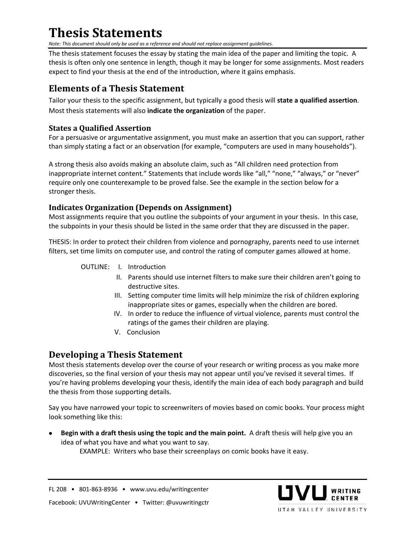# **Thesis Statements**

*Note: This document should only be used as a reference and should not replace assignment guidelines.* 

The thesis statement focuses the essay by stating the main idea of the paper and limiting the topic. A thesis is often only one sentence in length, though it may be longer for some assignments. Most readers expect to find your thesis at the end of the introduction, where it gains emphasis.

## **Elements of a Thesis Statement**

Tailor your thesis to the specific assignment, but typically a good thesis will **state a qualified assertion**. Most thesis statements will also **indicate the organization** of the paper.

### **States a Qualified Assertion**

For a persuasive or argumentative assignment, you must make an assertion that you can support, rather than simply stating a fact or an observation (for example, "computers are used in many households").

A strong thesis also avoids making an absolute claim, such as "All children need protection from inappropriate internet content." Statements that include words like "all," "none," "always," or "never" require only one counterexample to be proved false. See the example in the section below for a stronger thesis.

### **Indicates Organization (Depends on Assignment)**

Most assignments require that you outline the subpoints of your argument in your thesis. In this case, the subpoints in your thesis should be listed in the same order that they are discussed in the paper.

THESIS: In order to protect their children from violence and pornography, parents need to use internet filters, set time limits on computer use, and control the rating of computer games allowed at home.

- OUTLINE: I. Introduction
	- II. Parents should use internet filters to make sure their children aren't going to destructive sites.
	- III. Setting computer time limits will help minimize the risk of children exploring inappropriate sites or games, especially when the children are bored.
	- IV. In order to reduce the influence of virtual violence, parents must control the ratings of the games their children are playing.
	- V. Conclusion

### **Developing a Thesis Statement**

Most thesis statements develop over the course of your research or writing process as you make more discoveries, so the final version of your thesis may not appear until you've revised it several times. If you're having problems developing your thesis, identify the main idea of each body paragraph and build the thesis from those supporting details.

Say you have narrowed your topic to screenwriters of movies based on comic books. Your process might look something like this:

• **Begin with a draft thesis using the topic and the main point.** A draft thesis will help give you an idea of what you have and what you want to say.

EXAMPLE: Writers who base their screenplays on comic books have it easy.